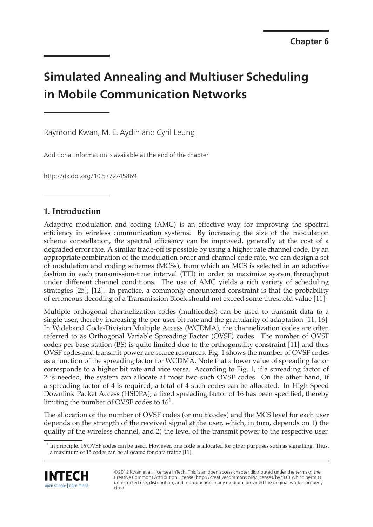# **Simulated Annealing and Multiuser Scheduling in Mobile Communication Networks**

Raymond Kwan, M. E. Aydin and Cyril Leung

Additional information is available at the end of the chapter

http://dx.doi.org/10.5772/45869

# **1. Introduction**

Adaptive modulation and coding (AMC) is an effective way for improving the spectral efficiency in wireless communication systems. By increasing the size of the modulation scheme constellation, the spectral efficiency can be improved, generally at the cost of a degraded error rate. A similar trade-off is possible by using a higher rate channel code. By an appropriate combination of the modulation order and channel code rate, we can design a set of modulation and coding schemes (MCSs), from which an MCS is selected in an adaptive fashion in each transmission-time interval (TTI) in order to maximize system throughput under different channel conditions. The use of AMC yields a rich variety of scheduling strategies [25]; [12]. In practice, a commonly encountered constraint is that the probability of erroneous decoding of a Transmission Block should not exceed some threshold value [11].

Multiple orthogonal channelization codes (multicodes) can be used to transmit data to a single user, thereby increasing the per-user bit rate and the granularity of adaptation [11, 16]. In Wideband Code-Division Multiple Access (WCDMA), the channelization codes are often referred to as Orthogonal Variable Spreading Factor (OVSF) codes. The number of OVSF codes per base station (BS) is quite limited due to the orthogonality constraint [11] and thus OVSF codes and transmit power are scarce resources. Fig. 1 shows the number of OVSF codes as a function of the spreading factor for WCDMA. Note that a lower value of spreading factor corresponds to a higher bit rate and vice versa. According to Fig. 1, if a spreading factor of 2 is needed, the system can allocate at most two such OVSF codes. On the other hand, if a spreading factor of 4 is required, a total of 4 such codes can be allocated. In High Speed Downlink Packet Access (HSDPA), a fixed spreading factor of 16 has been specified, thereby limiting the number of OVSF codes to  $16<sup>1</sup>$ .

The allocation of the number of OVSF codes (or multicodes) and the MCS level for each user depends on the strength of the received signal at the user, which, in turn, depends on 1) the quality of the wireless channel, and 2) the level of the transmit power to the respective user.

 $1$  In principle, 16 OVSF codes can be used. However, one code is allocated for other purposes such as signalling. Thus, a maximum of 15 codes can be allocated for data traffic [11].



<sup>©2012</sup> Kwan et al., licensee InTech. This is an open access chapter distributed under the terms of the Creative Commons Attribution License (http://creativecommons.org/licenses/by/3.0),which permits unrestricted use, distribution, and reproduction in any medium, provided the original work is properly cited.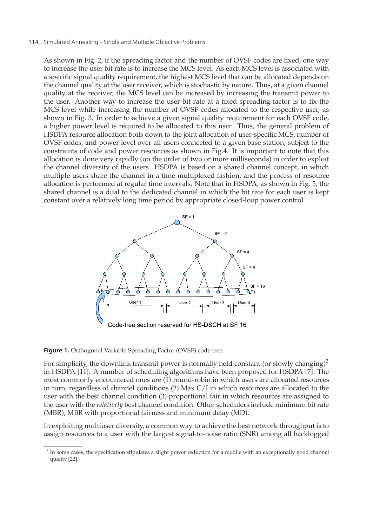As shown in Fig. 2, if the spreading factor and the number of OVSF codes are fixed, one way to increase the user bit rate is to increase the MCS level. As each MCS level is associated with a specific signal quality requirement, the highest MCS level that can be allocated depends on the channel quality at the user receiver, which is stochastic by nature. Thus, at a given channel quality at the receiver, the MCS level can be increased by increasing the transmit power to the user. Another way to increase the user bit rate at a fixed spreading factor is to fix the MCS level while increasing the number of OVSF codes allocated to the respective user, as shown in Fig. 3. In order to achieve a given signal quality requirement for each OVSF code, a higher power level is required to be allocated to this user. Thus, the general problem of HSDPA resource allocation boils down to the joint allocation of user-specific MCS, number of OVSF codes, and power level over all users connected to a given base station, subject to the constraints of code and power resources as shown in Fig.4. It is important to note that this allocation is done very rapidly (on the order of two or more milliseconds) in order to exploit the channel diversity of the users. HSDPA is based on a shared channel concept, in which multiple users share the channel in a time-multiplexed fashion, and the process of resource allocation is performed at regular time intervals. Note that in HSDPA, as shown in Fig. 5, the shared channel is a dual to the dedicated channel in which the bit rate for each user is kept constant over a relatively long time period by appropriate closed-loop power control.



**Figure 1.** Orthogonal Variable Spreading Factor (OVSF) code tree.

For simplicity, the downlink transmit power is normally held constant (or slowly changing)<sup>2</sup> in HSDPA [11]. A number of scheduling algorithms have been proposed for HSDPA [7]. The most commonly encountered ones are (1) round-robin in which users are allocated resources in turn, regardless of channel conditions (2) Max C/I in which resources are allocated to the user with the best channel condition (3) proportional fair in which resources are assigned to the user with the *relatively* best channel condition. Other schedulers include minimum bit rate (MBR), MBR with proportional fairness and minimum delay (MD).

In exploiting multiuser diversity, a common way to achieve the best network throughput is to assign resources to a user with the largest signal-to-noise ratio (SNR) among all backlogged

<sup>&</sup>lt;sup>2</sup> In some cases, the specification stipulates a slight power reduction for a mobile with an exceptionally good channel quality [22].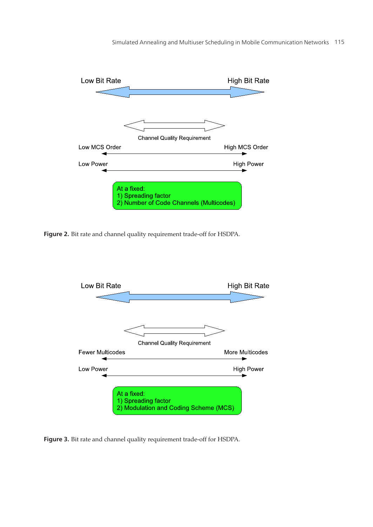

**Figure 2.** Bit rate and channel quality requirement trade-off for HSDPA.



**Figure 3.** Bit rate and channel quality requirement trade-off for HSDPA.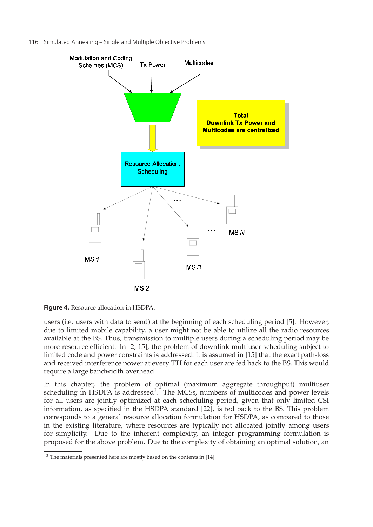

**Figure 4.** Resource allocation in HSDPA.

users (i.e. users with data to send) at the beginning of each scheduling period [5]. However, due to limited mobile capability, a user might not be able to utilize all the radio resources available at the BS. Thus, transmission to multiple users during a scheduling period may be more resource efficient. In [2, 15], the problem of downlink multiuser scheduling subject to limited code and power constraints is addressed. It is assumed in [15] that the exact path-loss and received interference power at every TTI for each user are fed back to the BS. This would require a large bandwidth overhead.

In this chapter, the problem of optimal (maximum aggregate throughput) multiuser scheduling in HSDPA is addressed<sup>3</sup>. The MCSs, numbers of multicodes and power levels for all users are jointly optimized at each scheduling period, given that only limited CSI information, as specified in the HSDPA standard [22], is fed back to the BS. This problem corresponds to a general resource allocation formulation for HSDPA, as compared to those in the existing literature, where resources are typically not allocated jointly among users for simplicity. Due to the inherent complexity, an integer programming formulation is proposed for the above problem. Due to the complexity of obtaining an optimal solution, an

<sup>&</sup>lt;sup>3</sup> The materials presented here are mostly based on the contents in [14].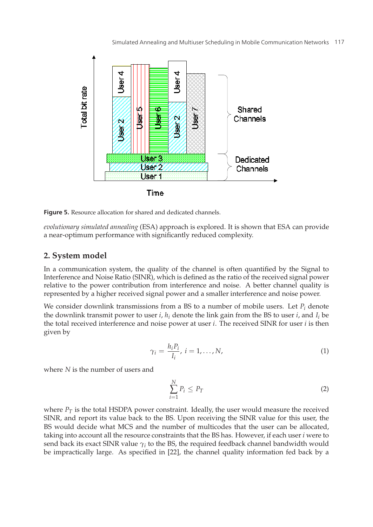Simulated Annealing and Multiuser Scheduling in Mobile Communication Networks 117



**Figure 5.** Resource allocation for shared and dedicated channels.

*evolutionary simulated annealing* (ESA) approach is explored. It is shown that ESA can provide a near-optimum performance with significantly reduced complexity.

## **2. System model**

In a communication system, the quality of the channel is often quantified by the Signal to Interference and Noise Ratio (SINR), which is defined as the ratio of the received signal power relative to the power contribution from interference and noise. A better channel quality is represented by a higher received signal power and a smaller interference and noise power.

We consider downlink transmissions from a BS to a number of mobile users. Let  $P_i$  denote the downlink transmit power to user  $i$ ,  $h_i$  denote the link gain from the BS to user  $i$ , and  $I_i$  be the total received interference and noise power at user *i*. The received SINR for user *i* is then given by

$$
\gamma_i = \frac{h_i P_i}{I_i}, \ i = 1, \dots, N,
$$
\n<sup>(1)</sup>

where *N* is the number of users and

$$
\sum_{i=1}^{N} P_i \le P_T \tag{2}
$$

where  $P_T$  is the total HSDPA power constraint. Ideally, the user would measure the received SINR, and report its value back to the BS. Upon receiving the SINR value for this user, the BS would decide what MCS and the number of multicodes that the user can be allocated, taking into account all the resource constraints that the BS has. However, if each user *i* were to send back its exact SINR value  $\gamma_i$  to the BS, the required feedback channel bandwidth would be impractically large. As specified in [22], the channel quality information fed back by a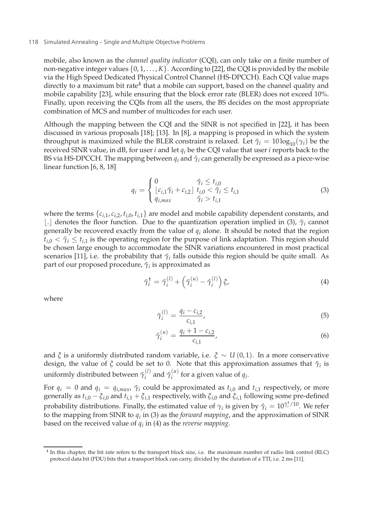mobile, also known as the *channel quality indicator* (CQI), can only take on a finite number of non-negative integer values  $\{0, 1, \ldots, K\}$ . According to [22], the CQI is provided by the mobile via the High Speed Dedicated Physical Control Channel (HS-DPCCH). Each CQI value maps directly to a maximum bit rate<sup>4</sup> that a mobile can support, based on the channel quality and mobile capability [23], while ensuring that the block error rate (BLER) does not exceed 10%. Finally, upon receiving the CQIs from all the users, the BS decides on the most appropriate combination of MCS and number of multicodes for each user.

Although the mapping between the CQI and the SINR is not specified in [22], it has been discussed in various proposals [18]; [13]. In [8], a mapping is proposed in which the system throughput is maximized while the BLER constraint is relaxed. Let  $\tilde{\gamma}_i = 10 \log_{10}(\gamma_i)$  be the received SINR value, in dB, for user *i* and let *qi* be the CQI value that user *i* reports back to the BS via HS-DPCCH. The mapping between *qi* and *γ*˜*<sup>i</sup>* can generally be expressed as a piece-wise linear function [6, 8, 18]

$$
q_i = \begin{cases} 0 & \tilde{\gamma}_i \le t_{i,0} \\ \lfloor c_{i,1} \tilde{\gamma}_i + c_{i,2} \rfloor & t_{i,0} < \tilde{\gamma}_i \le t_{i,1} \\ q_{i,max} & \tilde{\gamma}_i > t_{i,1} \end{cases} \tag{3}
$$

where the terms {*ci*,1, *ci*,2, *ti*,0, *ti*,1} are model and mobile capability dependent constants, and . denotes the floor function. Due to the quantization operation implied in (3),  $\tilde{\gamma}_i$  cannot generally be recovered exactly from the value of *qi* alone. It should be noted that the region  $t_{i,0} < \tilde{\gamma}_i \leq t_{i,1}$  is the operating region for the purpose of link adaptation. This region should be chosen large enough to accommodate the SINR variations encountered in most practical scenarios [11], i.e. the probability that  $\tilde{\gamma}_i$  falls outside this region should be quite small. As part of our proposed procedure, *γ*˜*<sup>i</sup>* is approximated as

$$
\tilde{\gamma}_i^{\dagger} = \tilde{\gamma}_i^{(l)} + \left(\tilde{\gamma}_i^{(u)} - \tilde{\gamma}_i^{(l)}\right)\xi,\tag{4}
$$

where

$$
\tilde{\gamma}_i^{(l)} = \frac{q_i - c_{i,2}}{c_{i,1}},\tag{5}
$$

$$
\tilde{\gamma}_i^{(u)} = \frac{q_i + 1 - c_{i,2}}{c_{i,1}},\tag{6}
$$

and  $\zeta$  is a uniformly distributed random variable, i.e.  $\zeta \sim U(0,1)$ . In a more conservative design, the value of *ξ* could be set to 0. Note that this approximation assumes that  $\tilde{\gamma}_i$  is uniformly distributed between  $\tilde{\gamma}_i^{(l)}$  and  $\tilde{\gamma}_i^{(u)}$  for a given value of  $q_i$ .

For  $q_i = 0$  and  $q_i = q_{i,max}$ ,  $\tilde{\gamma}_i$  could be approximated as  $t_{i,0}$  and  $t_{i,1}$  respectively, or more generally as  $t_{i,0} - \xi_{i,0}$  and  $t_{i,1} + \xi_{i,1}$  respectively, with  $\xi_{i,0}$  and  $\xi_{i,1}$  following some pre-defined probability distributions. Finally, the estimated value of  $\gamma_i$  is given by  $\hat{\gamma}_i = 10^{\tilde{\gamma}^+_i/10}$ . We refer to the mapping from SINR to *qi* in (3) as the *forward mapping*, and the approximation of SINR based on the received value of *qi* in (4) as the *reverse mapping*.

<sup>4</sup> In this chapter, the bit rate refers to the transport block size, i.e. the maximum number of radio link control (RLC) protocol data bit (PDU) bits that a transport block can carry, divided by the duration of a TTI, i.e. 2 ms [11].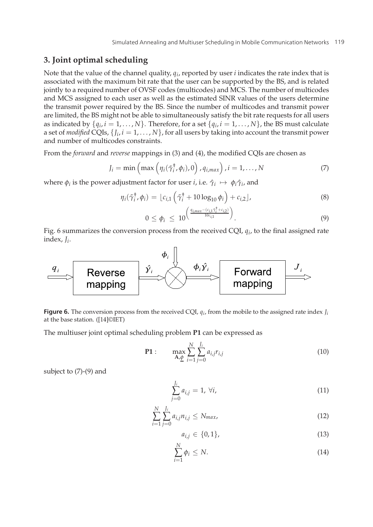## **3. Joint optimal scheduling**

Note that the value of the channel quality, *qi*, reported by user *i* indicates the rate index that is associated with the maximum bit rate that the user can be supported by the BS, and is related jointly to a required number of OVSF codes (multicodes) and MCS. The number of multicodes and MCS assigned to each user as well as the estimated SINR values of the users determine the transmit power required by the BS. Since the number of multicodes and transmit power are limited, the BS might not be able to simultaneously satisfy the bit rate requests for all users as indicated by  $\{q_i, i = 1, ..., N\}$ . Therefore, for a set  $\{q_i, i = 1, ..., N\}$ , the BS must calculate a set of *modified* CQIs,  $\{j_i, i = 1, \ldots, N\}$ , for all users by taking into account the transmit power and number of multicodes constraints.

From the *forward* and *reverse* mappings in (3) and (4), the modified CQIs are chosen as

$$
J_i = \min\left(\max\left(\eta_i(\tilde{\gamma}_i^{\dagger}, \phi_i), 0\right), q_{i, max}\right), i = 1, ..., N
$$
\n(7)

where  $\phi_i$  is the power adjustment factor for user *i*, i.e.  $\hat{\gamma}_i \mapsto \phi_i \hat{\gamma}_i$ , and

$$
\eta_i(\tilde{\gamma}_i^{\dagger}, \phi_i) = \lfloor c_{i,1} \left( \tilde{\gamma}_i^{\dagger} + 10 \log_{10} \phi_i \right) + c_{i,2} \rfloor, \tag{8}
$$

$$
0 \leq \phi_i \leq 10^{\left(\frac{q_{i,max} - (c_{i,1}\hat{\gamma}_i^{\dagger} + c_{i,2})}{10c_{i,1}}\right)}.
$$
\n(9)

Fig. 6 summarizes the conversion process from the received CQI, *qi*, to the final assigned rate index, *Ji*.



**Figure 6.** The conversion process from the received CQI, *qi*, from the mobile to the assigned rate index *Ji* at the base station. ([14]©IET)

The multiuser joint optimal scheduling problem **P1** can be expressed as

**P1:** 
$$
\max_{\mathbf{A}, \underline{\phi}} \sum_{i=1}^{N} \sum_{j=0}^{j_i} a_{i,j} r_{i,j}
$$
 (10)

subject to (7)-(9) and

$$
\sum_{j=0}^{J_i} a_{i,j} = 1, \forall i,
$$
\n(11)

$$
\sum_{i=1}^{N} \sum_{j=0}^{J_i} a_{i,j} n_{i,j} \le N_{max},
$$
\n(12)

$$
a_{i,j} \in \{0,1\},\tag{13}
$$

$$
\sum_{i=1}^{N} \phi_i \le N. \tag{14}
$$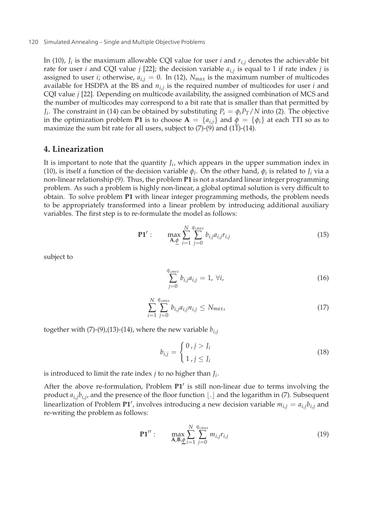In (10),  $J_i$  is the maximum allowable CQI value for user *i* and  $r_{i,j}$  denotes the achievable bit rate for user *i* and CQI value *j* [22]; the decision variable  $a_{i,j}$  is equal to 1 if rate index *j* is assigned to user *i*; otherwise,  $a_{i,j} = 0$ . In (12),  $N_{max}$  is the maximum number of multicodes available for HSDPA at the BS and  $n_{i,j}$  is the required number of multicodes for user *i* and CQI value *j* [22]. Depending on multicode availability, the assigned combination of MCS and the number of multicodes may correspond to a bit rate that is smaller than that permitted by *J<sub>i</sub>*. The constraint in (14) can be obtained by substituting  $P_i = \phi_i P_T / N$  into (2). The objective in the optimization problem **P1** is to choose  $A = \{a_{i,j}\}\$ and  $\phi = \{\phi_i\}\$ at each TTI so as to maximize the sum bit rate for all users, subject to  $(7)-(9)$  and  $(1\overline{1})$ - $(14)$ .

## **4. Linearization**

It is important to note that the quantity *Ji*, which appears in the upper summation index in (10), is itself a function of the decision variable  $\phi_i$ . On the other hand,  $\phi_i$  is related to  $J_i$  via a non-linear relationship (9). Thus, the problem **P1** is not a standard linear integer programming problem. As such a problem is highly non-linear, a global optimal solution is very difficult to obtain. To solve problem **P1** with linear integer programming methods, the problem needs to be appropriately transformed into a linear problem by introducing additional auxiliary variables. The first step is to re-formulate the model as follows:

$$
\mathbf{P1'}: \qquad \max_{\mathbf{A}, \underline{\phi}} \sum_{i=1}^{N} \sum_{j=0}^{q_{i, max}} b_{i, j} a_{i, j} r_{i, j} \tag{15}
$$

subject to

$$
\sum_{j=0}^{q_{i,max}} b_{i,j} a_{i,j} = 1, \ \forall i,
$$
\n(16)

$$
\sum_{i=1}^{N} \sum_{j=0}^{q_{i,max}} b_{i,j} a_{i,j} n_{i,j} \le N_{max},
$$
\n(17)

together with  $(7)-(9)$ , $(13)-(14)$ , where the new variable  $b_{i,j}$ 

$$
b_{i,j} = \begin{cases} 0, j > J_i \\ 1, j \leq J_i \end{cases} \tag{18}
$$

is introduced to limit the rate index *j* to no higher than *Ji*.

After the above re-formulation, Problem **P1** is still non-linear due to terms involving the product  $a_{i,j}b_{i,j}$ , and the presence of the floor function  $\lfloor . \rfloor$  and the logarithm in (7). Subsequent linearlization of Problem  $\text{P1}'$ , involves introducing a new decision variable  $m_{i,j} = a_{i,j} b_{i,j}$  and re-writing the problem as follows:

$$
\mathbf{P1}'' : \max_{\mathbf{A}, \mathbf{B}, \underline{\Phi}} \sum_{i=1}^{N} \sum_{j=0}^{q_{i,max}} m_{i,j} r_{i,j}
$$
(19)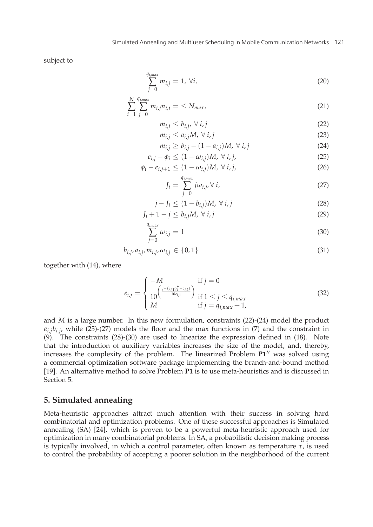subject to

$$
\sum_{j=0}^{q_{i,max}} m_{i,j} = 1, \ \forall i,
$$
\n(20)

$$
\sum_{i=1}^{N} \sum_{j=0}^{q_{i,max}} m_{i,j} n_{i,j} = \leq N_{max},
$$
\n(21)

$$
m_{i,j} \le b_{i,j}, \ \forall \ i,j \tag{22}
$$

$$
m_{i,j} \le a_{i,j} M, \ \forall \ i,j \tag{23}
$$

$$
m_{i,j} \ge b_{i,j} - (1 - a_{i,j})M, \ \forall \ i,j
$$
 (24)

$$
e_{i,j} - \phi_i \le (1 - \omega_{i,j})M, \ \forall \ i,j,
$$
 (25)

$$
\phi_i - e_{i,j+1} \le (1 - \omega_{i,j})M, \ \forall \ i,j,
$$
\n
$$
(26)
$$

$$
J_i = \sum_{j=0}^{q_{i,max}} j\omega_{i,j}, \forall i,
$$
\n(27)

$$
j - J_i \le (1 - b_{i,j})M, \forall i, j
$$
\n(28)

$$
J_i + 1 - j \le b_{i,j} M, \ \forall \ i, j \tag{29}
$$

$$
\sum_{j=0}^{q_{i,max}} \omega_{i,j} = 1 \tag{30}
$$

$$
b_{i,j}, a_{i,j}, m_{i,j}, \omega_{i,j} \in \{0, 1\}
$$
 (31)

together with (14), where

$$
e_{i,j} = \begin{cases} -M & \text{if } j = 0\\ 10^{\left(\frac{j - (c_{i,1}\tau_j^{\dagger} + c_{i,2})}{10c_{i,1}}\right)} & \text{if } 1 \le j \le q_{i,max} \\ M & \text{if } j = q_{i,max} + 1, \end{cases}
$$
(32)

and *M* is a large number. In this new formulation, constraints (22)-(24) model the product  $a_{i}$ ; $b_{i}$ , while (25)-(27) models the floor and the max functions in (7) and the constraint in (9). The constraints (28)-(30) are used to linearize the expression defined in (18). Note that the introduction of auxiliary variables increases the size of the model, and, thereby, increases the complexity of the problem. The linearized Problem **P1''** was solved using a commercial optimization software package implementing the branch-and-bound method [19]. An alternative method to solve Problem **P1** is to use meta-heuristics and is discussed in Section 5.

## **5. Simulated annealing**

Meta-heuristic approaches attract much attention with their success in solving hard combinatorial and optimization problems. One of these successful approaches is Simulated annealing (SA) [24], which is proven to be a powerful meta-heuristic approach used for optimization in many combinatorial problems. In SA, a probabilistic decision making process is typically involved, in which a control parameter, often known as temperature *τ*, is used to control the probability of accepting a poorer solution in the neighborhood of the current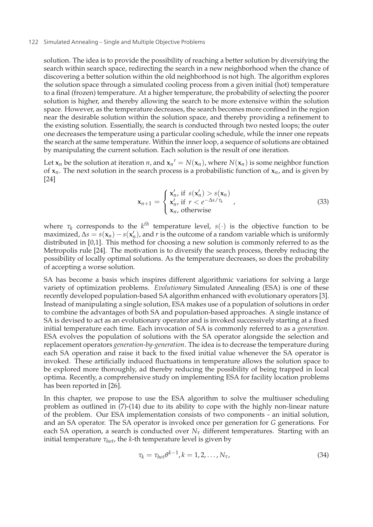solution. The idea is to provide the possibility of reaching a better solution by diversifying the search within search space, redirecting the search in a new neighborhood when the chance of discovering a better solution within the old neighborhood is not high. The algorithm explores the solution space through a simulated cooling process from a given initial (hot) temperature to a final (frozen) temperature. At a higher temperature, the probability of selecting the poorer solution is higher, and thereby allowing the search to be more extensive within the solution space. However, as the temperature decreases, the search becomes more confined in the region near the desirable solution within the solution space, and thereby providing a refinement to the existing solution. Essentially, the search is conducted through two nested loops; the outer one decreases the temperature using a particular cooling schedule, while the inner one repeats the search at the same temperature. Within the inner loop, a sequence of solutions are obtained by manipulating the current solution. Each solution is the result of one iteration.

Let  $\mathbf{x}_n$  be the solution at iteration *n*, and  $\mathbf{x}_n' = N(\mathbf{x}_n)$ , where  $N(\mathbf{x}_n)$  is some neighbor function of  $x_n$ . The next solution in the search process is a probabilistic function of  $x_n$ , and is given by [24]

$$
\mathbf{x}_{n+1} = \begin{cases} \mathbf{x}'_n, \text{ if } s(\mathbf{x}'_n) > s(\mathbf{x}_n) \\ \mathbf{x}'_n, \text{ if } r < e^{-\Delta s/\tau_k} \\ \mathbf{x}_n, \text{ otherwise} \end{cases} (33)
$$

where  $\tau_k$  corresponds to the  $k^{th}$  temperature level,  $s(\cdot)$  is the objective function to be maximized,  $\Delta s = s(\mathbf{x}_n) - s(\mathbf{x}'_n)$ , and *r* is the outcome of a random variable which is uniformly distributed in [0,1]. This method for choosing a new solution is commonly referred to as the Metropolis rule [24]. The motivation is to diversify the search process, thereby reducing the possibility of locally optimal solutions. As the temperature decreases, so does the probability of accepting a worse solution.

SA has become a basis which inspires different algorithmic variations for solving a large variety of optimization problems. *Evolutionary* Simulated Annealing (ESA) is one of these recently developed population-based SA algorithm enhanced with evolutionary operators [3]. Instead of manipulating a single solution, ESA makes use of a population of solutions in order to combine the advantages of both SA and population-based approaches. A single instance of SA is devised to act as an evolutionary operator and is invoked successively starting at a fixed initial temperature each time. Each invocation of SA is commonly referred to as a *generation*. ESA evolves the population of solutions with the SA operator alongside the selection and replacement operators *generation-by-generation*. The idea is to decrease the temperature during each SA operation and raise it back to the fixed initial value whenever the SA operator is invoked. These artificially induced fluctuations in temperature allows the solution space to be explored more thoroughly, ad thereby reducing the possibility of being trapped in local optima. Recently, a comprehensive study on implementing ESA for facility location problems has been reported in [26].

In this chapter, we propose to use the ESA algorithm to solve the multiuser scheduling problem as outlined in (7)-(14) due to its ability to cope with the highly non-linear nature of the problem. Our ESA implementation consists of two components - an initial solution, and an SA operator. The SA operator is invoked once per generation for *G* generations. For each SA operation, a search is conducted over  $N_{\tau}$  different temperatures. Starting with an initial temperature  $\tau_{hot}$ , the *k*-th temperature level is given by

$$
\tau_k = \tau_{hot} \theta^{k-1}, k = 1, 2, ..., N_{\tau},
$$
\n(34)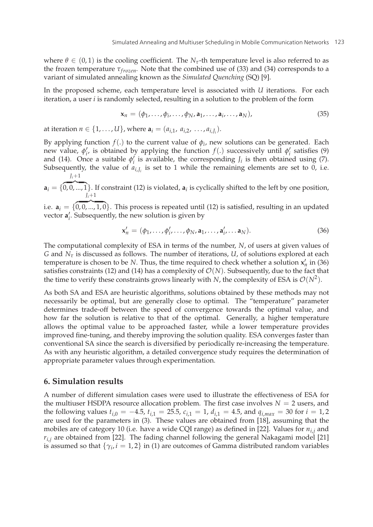where  $\theta \in (0,1)$  is the cooling coefficient. The  $N_{\tau}$ -th temperature level is also referred to as the frozen temperature *τfrozen*. Note that the combined use of (33) and (34) corresponds to a variant of simulated annealing known as the *Simulated Quenching* (SQ) [9].

In the proposed scheme, each temperature level is associated with *U* iterations. For each iteration, a user *i* is randomly selected, resulting in a solution to the problem of the form

$$
\mathbf{x}_n = (\phi_1, \dots, \phi_i, \dots, \phi_N, \mathbf{a}_1, \dots, \mathbf{a}_i, \dots, \mathbf{a}_N),
$$
\n(35)

at iteration  $n \in \{1, ..., U\}$ , where  $a_i = (a_{i,1}, a_{i,2}, ..., a_{i,J_i}).$ 

By applying function  $f(.)$  to the current value of  $\phi_i$ , new solutions can be generated. Each new value,  $\phi'_i$ , is obtained by applying the function  $f(.)$  successively until  $\phi'_i$  satisfies (9) and (14). Once a suitable  $\phi'_i$  is available, the corresponding  $J_i$  is then obtained using (7). Subsequently, the value of  $a_{i,j}$  is set to 1 while the remaining elements are set to 0, i.e. *Ji*+1

 $\mathbf{a}_i = \{0, 0, ..., 1\}$ . If constraint (12) is violated,  $\mathbf{a}_i$  is cyclically shifted to the left by one position,

i.e.  $\mathbf{a}_i = \{0, 0, ..., 1, 0\}$ . This process is repeated until (12) is satisfied, resulting in an updated vector **a** *i* . Subsequently, the new solution is given by

$$
\mathbf{x}'_n = (\phi_1, \dots, \phi'_i, \dots, \phi_N, \mathbf{a}_1, \dots, \mathbf{a}'_i, \dots, \mathbf{a}_N). \tag{36}
$$

The computational complexity of ESA in terms of the number, *N*, of users at given values of *G* and *Nτ* is discussed as follows. The number of iterations, *U*, of solutions explored at each temperature is chosen to be  $N$ . Thus, the time required to check whether a solution  $\mathsf{x}'_n$  in (36) satisfies constraints (12) and (14) has a complexity of  $\mathcal{O}(N)$ . Subsequently, due to the fact that the time to verify these constraints grows linearly with *N*, the complexity of ESA is  $\mathcal{O}(N^2)$ .

As both SA and ESA are heuristic algorithms, solutions obtained by these methods may not necessarily be optimal, but are generally close to optimal. The "temperature" parameter determines trade-off between the speed of convergence towards the optimal value, and how far the solution is relative to that of the optimal. Generally, a higher temperature allows the optimal value to be approached faster, while a lower temperature provides improved fine-tuning, and thereby improving the solution quality. ESA converges faster than conventional SA since the search is diversified by periodically re-increasing the temperature. As with any heuristic algorithm, a detailed convergence study requires the determination of appropriate parameter values through experimentation.

### **6. Simulation results**

A number of different simulation cases were used to illustrate the effectiveness of ESA for the multiuser HSDPA resource allocation problem. The first case involves  $N = 2$  users, and the following values  $t_{i,0} = -4.5$ ,  $t_{i,1} = 25.5$ ,  $c_{i,1} = 1$ ,  $d_{i,1} = 4.5$ , and  $q_{i,max} = 30$  for  $i = 1,2$ are used for the parameters in (3). These values are obtained from [18], assuming that the mobiles are of category 10 (i.e. have a wide CQI range) as defined in [22]. Values for *ni*,*<sup>j</sup>* and *ri*,*<sup>j</sup>* are obtained from [22]. The fading channel following the general Nakagami model [21] is assumed so that  $\{\gamma_i, i = 1, 2\}$  in (1) are outcomes of Gamma distributed random variables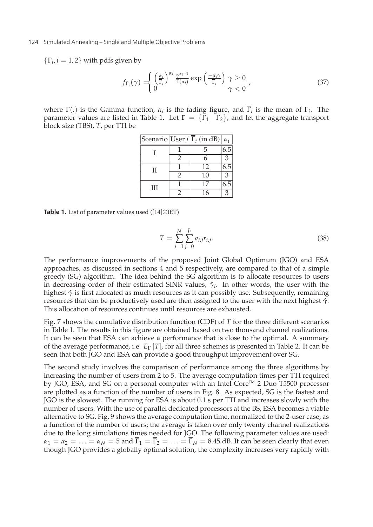${\{\Gamma_i, i = 1, 2\}}$  with pdfs given by

$$
f_{\Gamma_i}(\gamma) = \begin{cases} \left(\frac{\alpha_i}{\overline{\Gamma}_i}\right)^{\alpha_i} \frac{\gamma^{\alpha_i - 1}}{\Gamma(\alpha_i)} \exp\left(\frac{-\alpha_i \gamma}{\overline{\Gamma}_i}\right) & \gamma \ge 0\\ 0 & \gamma < 0 \end{cases} \tag{37}
$$

where  $\Gamma(.)$  is the Gamma function,  $\alpha_i$  is the fading figure, and  $\overline{\Gamma}_i$  is the mean of  $\Gamma_i$ . The parameter values are listed in Table 1. Let  $\Gamma = {\{\overline{\Gamma_1} \quad \Gamma_2\}}$ , and let the aggregate transport block size (TBS), *T*, per TTI be

|     | Scenario User $i \overline{\Gamma_i}$ (in dB) $\alpha_i$ |  |
|-----|----------------------------------------------------------|--|
|     |                                                          |  |
|     |                                                          |  |
| Н   | 12                                                       |  |
|     | 10                                                       |  |
| IΙI | 17                                                       |  |
|     | 16                                                       |  |

**Table 1.** List of parameter values used ([14]©IET)

$$
T = \sum_{i=1}^{N} \sum_{j=0}^{J_i} a_{i,j} r_{i,j}.
$$
 (38)

The performance improvements of the proposed Joint Global Optimum (JGO) and ESA approaches, as discussed in sections 4 and 5 respectively, are compared to that of a simple greedy (SG) algorithm. The idea behind the SG algorithm is to allocate resources to users in decreasing order of their estimated SINR values,  $\hat{\gamma}_i$ . In other words, the user with the highest *γ*ˆ is first allocated as much resources as it can possibly use. Subsequently, remaining resources that can be productively used are then assigned to the user with the next highest *γ*ˆ. This allocation of resources continues until resources are exhausted.

Fig. 7 shows the cumulative distribution function (CDF) of *T* for the three different scenarios in Table 1. The results in this figure are obtained based on two thousand channel realizations. It can be seen that ESA can achieve a performance that is close to the optimal. A summary of the average performance, i.e. *E***<sup>Γ</sup>** [*T*], for all three schemes is presented in Table 2. It can be seen that both JGO and ESA can provide a good throughput improvement over SG.

The second study involves the comparison of performance among the three algorithms by increasing the number of users from 2 to 5. The average computation times per TTI required by JGO, ESA, and SG on a personal computer with an Intel Core™ 2 Duo T5500 processor are plotted as a function of the number of users in Fig. 8. As expected, SG is the fastest and JGO is the slowest. The running for ESA is about 0.1 s per TTI and increases slowly with the number of users. With the use of parallel dedicated processors at the BS, ESA becomes a viable alternative to SG. Fig. 9 shows the average computation time, normalized to the 2-user case, as a function of the number of users; the average is taken over only twenty channel realizations due to the long simulations times needed for JGO. The following parameter values are used:  $\alpha_1 = \alpha_2 = \ldots = \alpha_N = 5$  and  $\overline{\Gamma}_1 = \overline{\Gamma}_2 = \ldots = \overline{\Gamma}_N = 8.45$  dB. It can be seen clearly that even though JGO provides a globally optimal solution, the complexity increases very rapidly with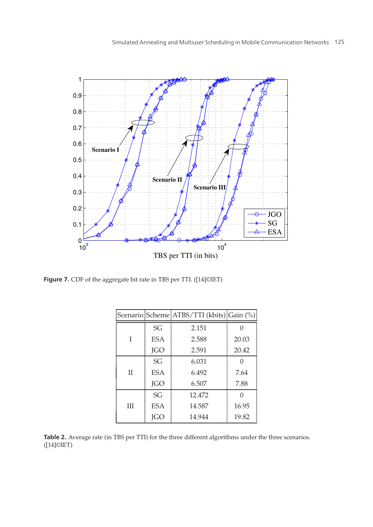

**Figure 7.** CDF of the aggregate bit rate in TBS per TTI. ([14]©IET)

|              |            | Scenario Scheme ATBS/TTI (kbits) Gain (%) |       |
|--------------|------------|-------------------------------------------|-------|
| T            | SG         | 2.151                                     |       |
|              | <b>ESA</b> | 2.588                                     | 20.03 |
|              | <b>JGO</b> | 2.591                                     | 20.42 |
| $\mathbf{I}$ | SG         | 6.031                                     |       |
|              | <b>ESA</b> | 6.492                                     | 7.64  |
|              | <b>JGO</b> | 6.507                                     | 7.88  |
| IΠ           | SG         | 12.472                                    |       |
|              | <b>ESA</b> | 14.587                                    | 16.95 |
|              | IGO        | 14.944                                    | 19.82 |

Table 2. Average rate (in TBS per TTI) for the three different algorithms under the three scenarios. ([14]©IET)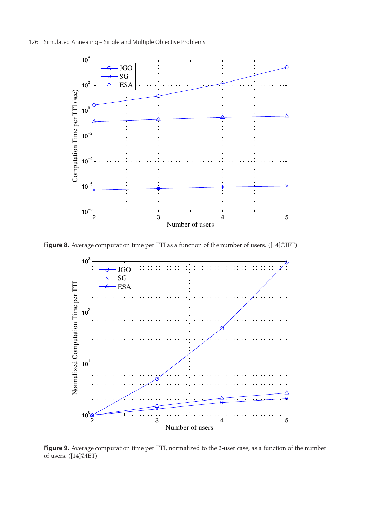

**Figure 8.** Average computation time per TTI as a function of the number of users. ([14]©IET)



**Figure 9.** Average computation time per TTI, normalized to the 2-user case, as a function of the number of users. ([14]©IET)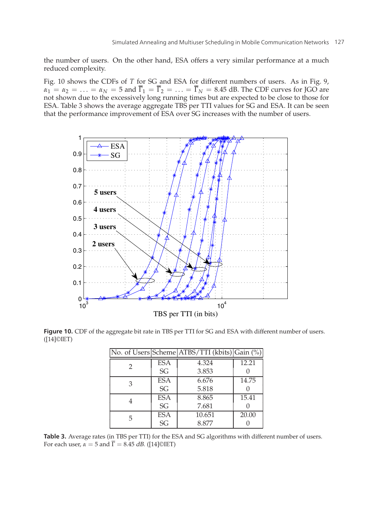the number of users. On the other hand, ESA offers a very similar performance at a much reduced complexity.

Fig. 10 shows the CDFs of *T* for SG and ESA for different numbers of users. As in Fig. 9,  $\alpha_1 = \alpha_2 = \ldots = \alpha_N = 5$  and  $\overline{\Gamma}_1 = \overline{\Gamma}_2 = \ldots = \overline{\Gamma}_N = 8.45$  dB. The CDF curves for JGO are not shown due to the excessively long running times but are expected to be close to those for ESA. Table 3 shows the average aggregate TBS per TTI values for SG and ESA. It can be seen that the performance improvement of ESA over SG increases with the number of users.



Figure 10. CDF of the aggregate bit rate in TBS per TTI for SG and ESA with different number of users. ([14]©IET)

|               |            | No. of Users Scheme ATBS/TTI (kbits) Gain (%) |       |
|---------------|------------|-----------------------------------------------|-------|
| $\mathcal{P}$ | <b>ESA</b> | 4.324                                         | 12.21 |
|               | SG         | 3.853                                         |       |
| 3             | <b>ESA</b> | 6.676                                         | 14.75 |
|               | SG         | 5.818                                         |       |
|               | <b>ESA</b> | 8.865                                         | 15.41 |
|               | SG         | 7.681                                         |       |
| 5             | <b>ESA</b> | 10.651                                        | 20.00 |
|               | SG         | 8.877                                         |       |

**Table 3.** Average rates (in TBS per TTI) for the ESA and SG algorithms with different number of users. For each user,  $\alpha = 5$  and  $\overline{\Gamma} = 8.45$  dB. ([14]©IET)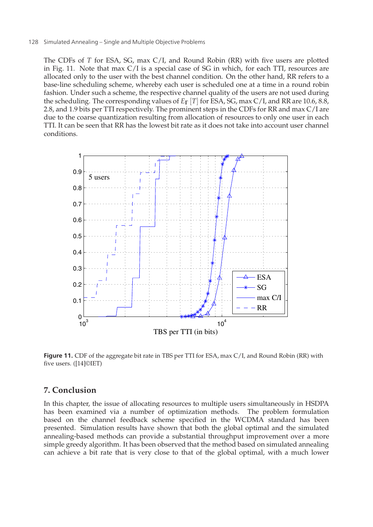The CDFs of *T* for ESA, SG, max C/I, and Round Robin (RR) with five users are plotted in Fig. 11. Note that max C/I is a special case of SG in which, for each TTI, resources are allocated only to the user with the best channel condition. On the other hand, RR refers to a base-line scheduling scheme, whereby each user is scheduled one at a time in a round robin fashion. Under such a scheme, the respective channel quality of the users are not used during the scheduling. The corresponding values of *E***<sup>Γ</sup>** [*T*] for ESA, SG, max C/I, and RR are 10.6, 8.8, 2.8, and 1.9 bits per TTI respectively. The prominent steps in the CDFs for RR and max C/I are due to the coarse quantization resulting from allocation of resources to only one user in each TTI. It can be seen that RR has the lowest bit rate as it does not take into account user channel conditions.



**Figure 11.** CDF of the aggregate bit rate in TBS per TTI for ESA, max C/I, and Round Robin (RR) with five users. ([14]©IET)

## **7. Conclusion**

In this chapter, the issue of allocating resources to multiple users simultaneously in HSDPA has been examined via a number of optimization methods. The problem formulation based on the channel feedback scheme specified in the WCDMA standard has been presented. Simulation results have shown that both the global optimal and the simulated annealing-based methods can provide a substantial throughput improvement over a more simple greedy algorithm. It has been observed that the method based on simulated annealing can achieve a bit rate that is very close to that of the global optimal, with a much lower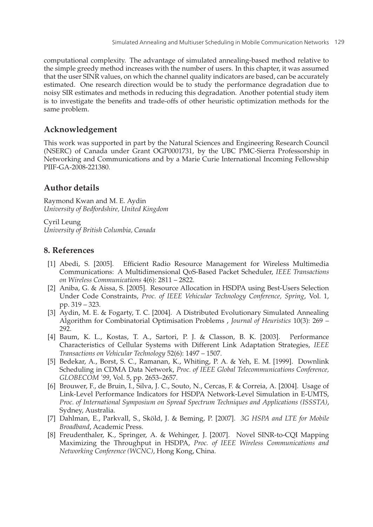computational complexity. The advantage of simulated annealing-based method relative to the simple greedy method increases with the number of users. In this chapter, it was assumed that the user SINR values, on which the channel quality indicators are based, can be accurately estimated. One research direction would be to study the performance degradation due to noisy SIR estimates and methods in reducing this degradation. Another potential study item is to investigate the benefits and trade-offs of other heuristic optimization methods for the same problem.

# **Acknowledgement**

This work was supported in part by the Natural Sciences and Engineering Research Council (NSERC) of Canada under Grant OGP0001731, by the UBC PMC-Sierra Professorship in Networking and Communications and by a Marie Curie International Incoming Fellowship PIIF-GA-2008-221380.

# **Author details**

Raymond Kwan and M. E. Aydin *University of Bedfordshire, United Kingdom*

Cyril Leung *University of British Columbia, Canada*

## **8. References**

- [1] Abedi, S. [2005]. Efficient Radio Resource Management for Wireless Multimedia Communications: A Multidimensional QoS-Based Packet Scheduler, *IEEE Transactions on Wireless Communications* 4(6): 2811 – 2822.
- [2] Aniba, G. & Aissa, S. [2005]. Resource Allocation in HSDPA using Best-Users Selection Under Code Constraints, *Proc. of IEEE Vehicular Technology Conference, Spring*, Vol. 1, pp. 319 – 323.
- [3] Aydin, M. E. & Fogarty, T. C. [2004]. A Distributed Evolutionary Simulated Annealing Algorithm for Combinatorial Optimisation Problems , *Journal of Heuristics* 10(3): 269 – 292.
- [4] Baum, K. L., Kostas, T. A., Sartori, P. J. & Classon, B. K. [2003]. Performance Characteristics of Cellular Systems with Different Link Adaptation Strategies, *IEEE Transactions on Vehicular Technology* 52(6): 1497 – 1507.
- [5] Bedekar, A., Borst, S. C., Ramanan, K., Whiting, P. A. & Yeh, E. M. [1999]. Downlink Scheduling in CDMA Data Network, *Proc. of IEEE Global Telecommunications Conference, GLOBECOM '99*, Vol. 5, pp. 2653–2657.
- [6] Brouwer, F., de Bruin, I., Silva, J. C., Souto, N., Cercas, F. & Correia, A. [2004]. Usage of Link-Level Performance Indicators for HSDPA Network-Level Simulation in E-UMTS, *Proc. of International Symposium on Spread Spectrum Techniques and Applications (ISSSTA)*, Sydney, Australia.
- [7] Dahlman, E., Parkvall, S., Sköld, J. & Beming, P. [2007]. *3G HSPA and LTE for Mobile Broadband*, Academic Press.
- [8] Freudenthaler, K., Springer, A. & Wehinger, J. [2007]. Novel SINR-to-CQI Mapping Maximizing the Throughput in HSDPA, *Proc. of IEEE Wireless Communications and Networking Conference (WCNC)*, Hong Kong, China.